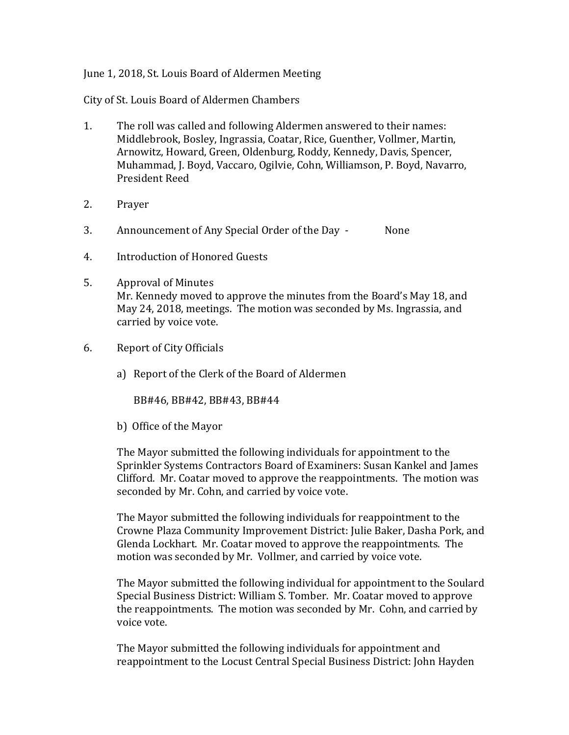## June 1, 2018, St. Louis Board of Aldermen Meeting

City of St. Louis Board of Aldermen Chambers

- 1. The roll was called and following Aldermen answered to their names: Middlebrook, Bosley, Ingrassia, Coatar, Rice, Guenther, Vollmer, Martin, Arnowitz, Howard, Green, Oldenburg, Roddy, Kennedy, Davis, Spencer, Muhammad, J. Boyd, Vaccaro, Ogilvie, Cohn, Williamson, P. Boyd, Navarro, President Reed
- 2. Prayer
- 3. Announcement of Any Special Order of the Day None
- 4. Introduction of Honored Guests
- 5. Approval of Minutes Mr. Kennedy moved to approve the minutes from the Board's May 18, and May 24, 2018, meetings. The motion was seconded by Ms. Ingrassia, and carried by voice vote.
- 6. Report of City Officials
	- a) Report of the Clerk of the Board of Aldermen

BB#46, BB#42, BB#43, BB#44

b) Office of the Mayor

The Mayor submitted the following individuals for appointment to the Sprinkler Systems Contractors Board of Examiners: Susan Kankel and James Clifford. Mr. Coatar moved to approve the reappointments. The motion was seconded by Mr. Cohn, and carried by voice vote.

The Mayor submitted the following individuals for reappointment to the Crowne Plaza Community Improvement District: Julie Baker, Dasha Pork, and Glenda Lockhart. Mr. Coatar moved to approve the reappointments. The motion was seconded by Mr. Vollmer, and carried by voice vote.

The Mayor submitted the following individual for appointment to the Soulard Special Business District: William S. Tomber. Mr. Coatar moved to approve the reappointments. The motion was seconded by Mr. Cohn, and carried by voice vote.

The Mayor submitted the following individuals for appointment and reappointment to the Locust Central Special Business District: John Hayden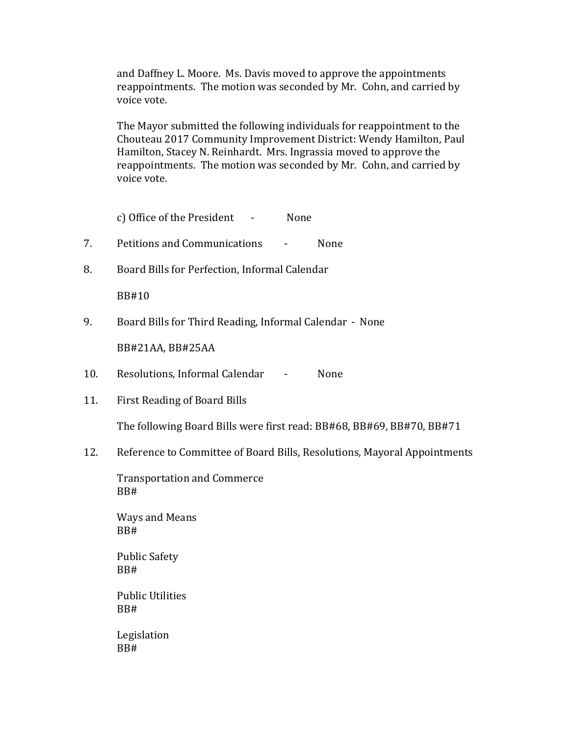and Daffney L. Moore. Ms. Davis moved to approve the appointments reappointments. The motion was seconded by Mr. Cohn, and carried by voice vote.

The Mayor submitted the following individuals for reappointment to the Chouteau 2017 Community Improvement District: Wendy Hamilton, Paul Hamilton, Stacey N. Reinhardt. Mrs. Ingrassia moved to approve the reappointments. The motion was seconded by Mr. Cohn, and carried by voice vote.

c) Office of the President - None

- 7. Petitions and Communications None
- 8. Board Bills for Perfection, Informal Calendar

BB#10

9. Board Bills for Third Reading, Informal Calendar - None

BB#21AA, BB#25AA

- 10. Resolutions, Informal Calendar None
- 11. First Reading of Board Bills

The following Board Bills were first read: BB#68, BB#69, BB#70, BB#71

12. Reference to Committee of Board Bills, Resolutions, Mayoral Appointments

Transportation and Commerce BB#

Ways and Means BB#

Public Safety BB#

Public Utilities BB#

Legislation BB#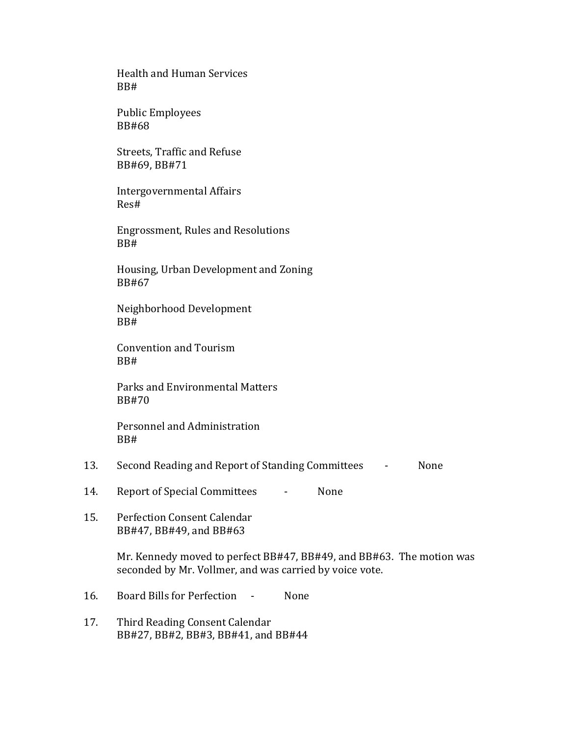Health and Human Services BB#

Public Employees BB#68

Streets, Traffic and Refuse BB#69, BB#71

Intergovernmental Affairs Res#

Engrossment, Rules and Resolutions BB#

Housing, Urban Development and Zoning BB#67

Neighborhood Development BB#

Convention and Tourism BB#

Parks and Environmental Matters BB#70

Personnel and Administration BB#

- 13. Second Reading and Report of Standing Committees None
- 14. Report of Special Committees None
- 15. Perfection Consent Calendar BB#47, BB#49, and BB#63

Mr. Kennedy moved to perfect BB#47, BB#49, and BB#63. The motion was seconded by Mr. Vollmer, and was carried by voice vote.

- 16. Board Bills for Perfection None
- 17. Third Reading Consent Calendar BB#27, BB#2, BB#3, BB#41, and BB#44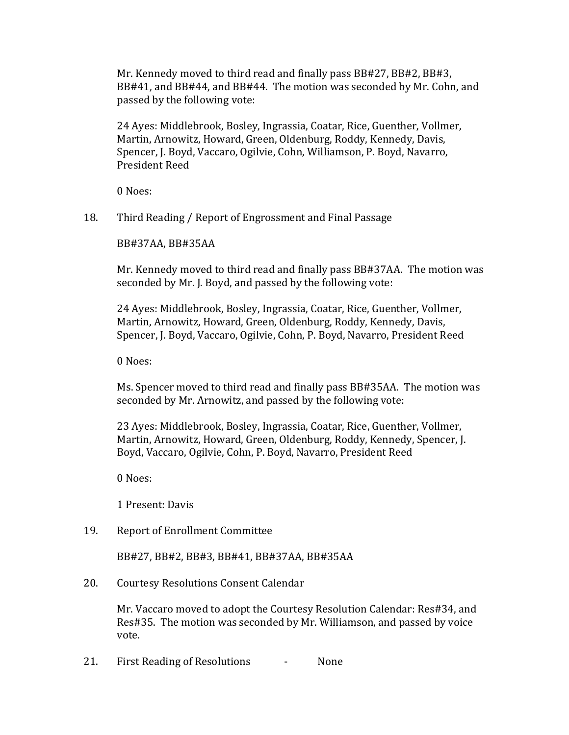Mr. Kennedy moved to third read and finally pass BB#27, BB#2, BB#3, BB#41, and BB#44, and BB#44. The motion was seconded by Mr. Cohn, and passed by the following vote:

24 Ayes: Middlebrook, Bosley, Ingrassia, Coatar, Rice, Guenther, Vollmer, Martin, Arnowitz, Howard, Green, Oldenburg, Roddy, Kennedy, Davis, Spencer, J. Boyd, Vaccaro, Ogilvie, Cohn, Williamson, P. Boyd, Navarro, President Reed

0 Noes:

18. Third Reading / Report of Engrossment and Final Passage

BB#37AA, BB#35AA

Mr. Kennedy moved to third read and finally pass BB#37AA. The motion was seconded by Mr. J. Boyd, and passed by the following vote:

24 Ayes: Middlebrook, Bosley, Ingrassia, Coatar, Rice, Guenther, Vollmer, Martin, Arnowitz, Howard, Green, Oldenburg, Roddy, Kennedy, Davis, Spencer, J. Boyd, Vaccaro, Ogilvie, Cohn, P. Boyd, Navarro, President Reed

0 Noes:

Ms. Spencer moved to third read and finally pass BB#35AA. The motion was seconded by Mr. Arnowitz, and passed by the following vote:

23 Ayes: Middlebrook, Bosley, Ingrassia, Coatar, Rice, Guenther, Vollmer, Martin, Arnowitz, Howard, Green, Oldenburg, Roddy, Kennedy, Spencer, J. Boyd, Vaccaro, Ogilvie, Cohn, P. Boyd, Navarro, President Reed

0 Noes:

1 Present: Davis

19. Report of Enrollment Committee

BB#27, BB#2, BB#3, BB#41, BB#37AA, BB#35AA

20. Courtesy Resolutions Consent Calendar

Mr. Vaccaro moved to adopt the Courtesy Resolution Calendar: Res#34, and Res#35. The motion was seconded by Mr. Williamson, and passed by voice vote.

21. First Reading of Resolutions - None